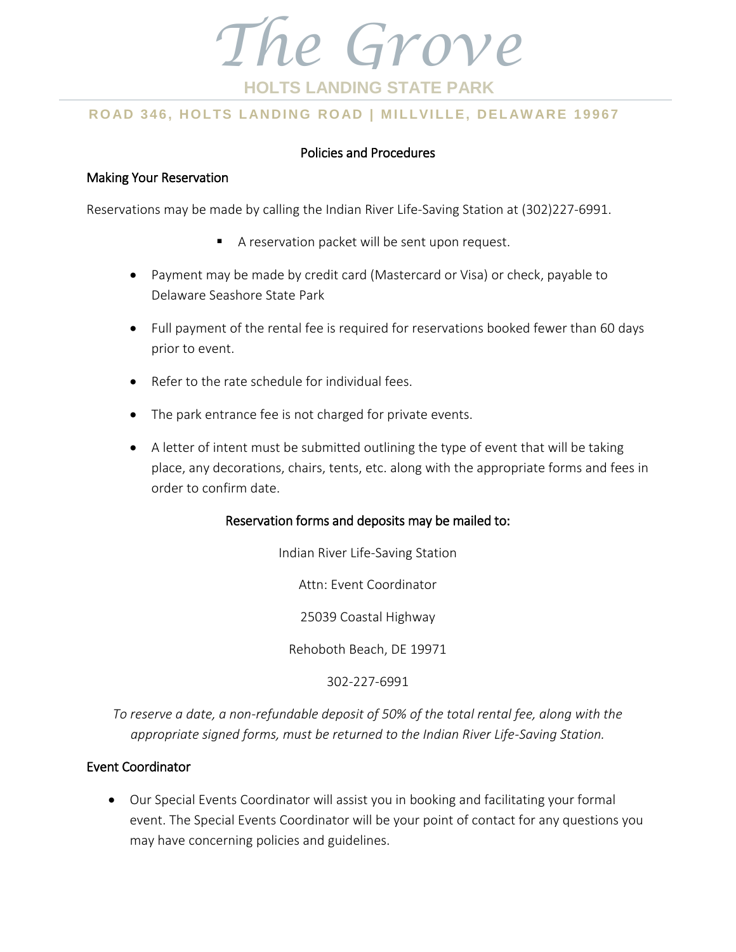

# **ROAD 346, HOLTS LANDING ROAD | MILLVILLE, DELAWARE 19967**

#### Policies and Procedures

#### Making Your Reservation

Reservations may be made by calling the Indian River Life-Saving Station at (302)227-6991.

- A reservation packet will be sent upon request.
- Payment may be made by credit card (Mastercard or Visa) or check, payable to Delaware Seashore State Park
- Full payment of the rental fee is required for reservations booked fewer than 60 days prior to event.
- Refer to the rate schedule for individual fees.
- The park entrance fee is not charged for private events.
- A letter of intent must be submitted outlining the type of event that will be taking place, any decorations, chairs, tents, etc. along with the appropriate forms and fees in order to confirm date.

#### Reservation forms and deposits may be mailed to:

Indian River Life-Saving Station

Attn: Event Coordinator

25039 Coastal Highway

Rehoboth Beach, DE 19971

302-227-6991

*To reserve a date, a non-refundable deposit of 50% of the total rental fee, along with the appropriate signed forms, must be returned to the Indian River Life-Saving Station.*

### Event Coordinator

 Our Special Events Coordinator will assist you in booking and facilitating your formal event. The Special Events Coordinator will be your point of contact for any questions you may have concerning policies and guidelines.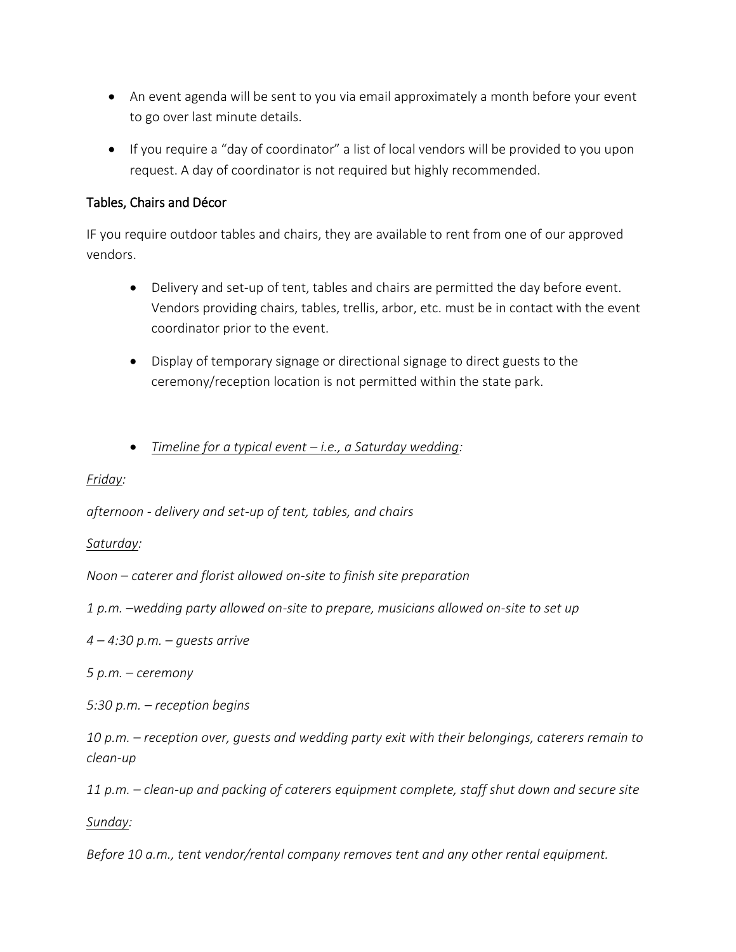- An event agenda will be sent to you via email approximately a month before your event to go over last minute details.
- If you require a "day of coordinator" a list of local vendors will be provided to you upon request. A day of coordinator is not required but highly recommended.

### Tables, Chairs and Décor

IF you require outdoor tables and chairs, they are available to rent from one of our approved vendors.

- Delivery and set-up of tent, tables and chairs are permitted the day before event. Vendors providing chairs, tables, trellis, arbor, etc. must be in contact with the event coordinator prior to the event.
- Display of temporary signage or directional signage to direct guests to the ceremony/reception location is not permitted within the state park.
- *Timeline for a typical event – i.e., a Saturday wedding:*

*Friday:* 

*afternoon - delivery and set-up of tent, tables, and chairs*

### *Saturday:*

*Noon – caterer and florist allowed on-site to finish site preparation*

*1 p.m. –wedding party allowed on-site to prepare, musicians allowed on-site to set up*

*4 – 4:30 p.m. – guests arrive*

*5 p.m. – ceremony*

*5:30 p.m. – reception begins*

*10 p.m. – reception over, guests and wedding party exit with their belongings, caterers remain to clean-up*

*11 p.m. – clean-up and packing of caterers equipment complete, staff shut down and secure site*

*Sunday:*

*Before 10 a.m., tent vendor/rental company removes tent and any other rental equipment.*